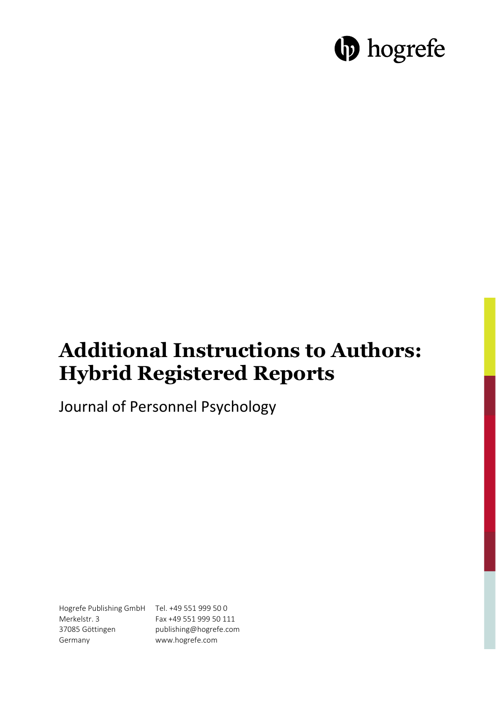# **b** hogrefe

## **Additional Instructions to Authors: Hybrid Registered Reports**

Journal of Personnel Psychology

Hogrefe Publishing GmbH Tel. +49 551 999 50 0 Merkelstr. 3 37085 Göttingen Germany

Fax +49 551 999 50 111 publishing@hogrefe.com www.hogrefe.com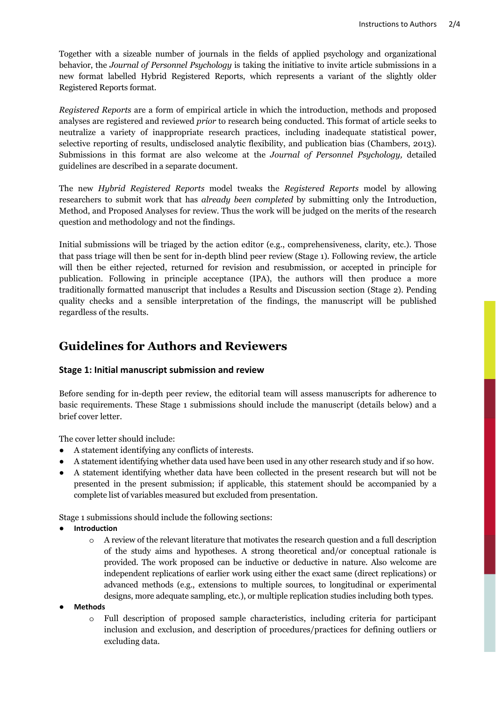Together with a sizeable number of journals in the fields of applied psychology and organizational behavior, the *Journal of Personnel Psychology* is taking the initiative to invite article submissions in a new format labelled Hybrid Registered Reports, which represents a variant of the slightly older Registered Reports format.

*Registered Reports* are a form of empirical article in which the introduction, methods and proposed analyses are registered and reviewed *prior* to research being conducted. This format of article seeks to neutralize a variety of inappropriate research practices, including inadequate statistical power, selective reporting of results, undisclosed analytic flexibility, and publication bias (Chambers, 2013). Submissions in this format are also welcome at the *Journal of Personnel Psychology,* detailed guidelines are described in a separate document.

The new *Hybrid Registered Reports* model tweaks the *Registered Reports* model by allowing researchers to submit work that has *already been completed* by submitting only the Introduction, Method, and Proposed Analyses for review. Thus the work will be judged on the merits of the research question and methodology and not the findings.

Initial submissions will be triaged by the action editor (e.g., comprehensiveness, clarity, etc.). Those that pass triage will then be sent for in-depth blind peer review (Stage 1). Following review, the article will then be either rejected, returned for revision and resubmission, or accepted in principle for publication. Following in principle acceptance (IPA), the authors will then produce a more traditionally formatted manuscript that includes a Results and Discussion section (Stage 2). Pending quality checks and a sensible interpretation of the findings, the manuscript will be published regardless of the results.

### **Guidelines for Authors and Reviewers**

#### **Stage 1: Initial manuscript submission and review**

Before sending for in-depth peer review, the editorial team will assess manuscripts for adherence to basic requirements. These Stage 1 submissions should include the manuscript (details below) and a brief cover letter.

The cover letter should include:

- A statement identifying any conflicts of interests.
- A statement identifying whether data used have been used in any other research study and if so how.
- A statement identifying whether data have been collected in the present research but will not be presented in the present submission; if applicable, this statement should be accompanied by a complete list of variables measured but excluded from presentation.

Stage 1 submissions should include the following sections:

- **Introduction** 
	- o A review of the relevant literature that motivates the research question and a full description of the study aims and hypotheses. A strong theoretical and/or conceptual rationale is provided. The work proposed can be inductive or deductive in nature. Also welcome are independent replications of earlier work using either the exact same (direct replications) or advanced methods (e.g., extensions to multiple sources, to longitudinal or experimental designs, more adequate sampling, etc.), or multiple replication studies including both types.
- **Methods** 
	- Full description of proposed sample characteristics, including criteria for participant inclusion and exclusion, and description of procedures/practices for defining outliers or excluding data.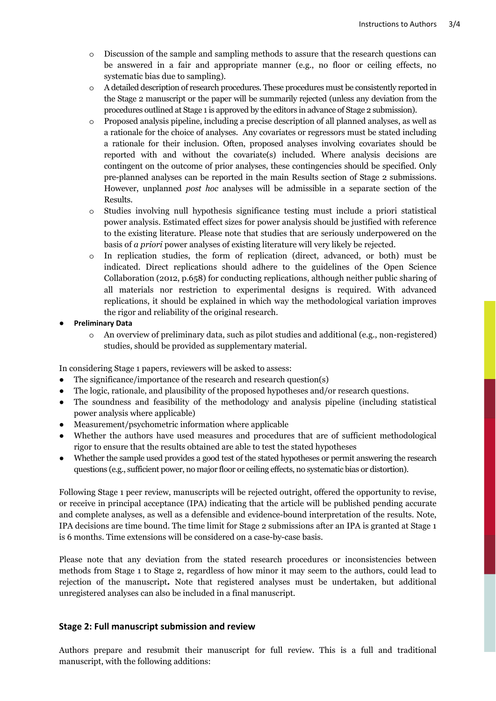- o Discussion of the sample and sampling methods to assure that the research questions can be answered in a fair and appropriate manner (e.g., no floor or ceiling effects, no systematic bias due to sampling).
- o A detailed description of research procedures. These procedures must be consistently reported in the Stage 2 manuscript or the paper will be summarily rejected (unless any deviation from the procedures outlined at Stage 1 is approved by the editors in advance of Stage 2 submission).
- o Proposed analysis pipeline, including a precise description of all planned analyses, as well as a rationale for the choice of analyses. Any covariates or regressors must be stated including a rationale for their inclusion. Often, proposed analyses involving covariates should be reported with and without the covariate(s) included. Where analysis decisions are contingent on the outcome of prior analyses, these contingencies should be specified. Only pre-planned analyses can be reported in the main Results section of Stage 2 submissions. However, unplanned *post hoc* analyses will be admissible in a separate section of the Results.
- o Studies involving null hypothesis significance testing must include a priori statistical power analysis. Estimated effect sizes for power analysis should be justified with reference to the existing literature. Please note that studies that are seriously underpowered on the basis of *a priori* power analyses of existing literature will very likely be rejected.
- o In replication studies, the form of replication (direct, advanced, or both) must be indicated. Direct replications should adhere to the guidelines of the Open Science Collaboration (2012, p.658) for conducting replications, although neither public sharing of all materials nor restriction to experimental designs is required. With advanced replications, it should be explained in which way the methodological variation improves the rigor and reliability of the original research.

#### ● **Preliminary Data**

o An overview of preliminary data, such as pilot studies and additional (e.g., non-registered) studies, should be provided as supplementary material.

In considering Stage 1 papers, reviewers will be asked to assess:

- The significance/importance of the research and research question(s)
- The logic, rationale, and plausibility of the proposed hypotheses and/or research questions.
- The soundness and feasibility of the methodology and analysis pipeline (including statistical power analysis where applicable)
- Measurement/psychometric information where applicable
- Whether the authors have used measures and procedures that are of sufficient methodological rigor to ensure that the results obtained are able to test the stated hypotheses
- Whether the sample used provides a good test of the stated hypotheses or permit answering the research questions (e.g., sufficient power, no major floor or ceiling effects, no systematic bias or distortion).

Following Stage 1 peer review, manuscripts will be rejected outright, offered the opportunity to revise, or receive in principal acceptance (IPA) indicating that the article will be published pending accurate and complete analyses, as well as a defensible and evidence-bound interpretation of the results. Note, IPA decisions are time bound. The time limit for Stage 2 submissions after an IPA is granted at Stage 1 is 6 months. Time extensions will be considered on a case-by-case basis.

Please note that any deviation from the stated research procedures or inconsistencies between methods from Stage 1 to Stage 2, regardless of how minor it may seem to the authors, could lead to rejection of the manuscript**.** Note that registered analyses must be undertaken, but additional unregistered analyses can also be included in a final manuscript.

#### **Stage 2: Full manuscript submission and review**

Authors prepare and resubmit their manuscript for full review. This is a full and traditional manuscript, with the following additions: